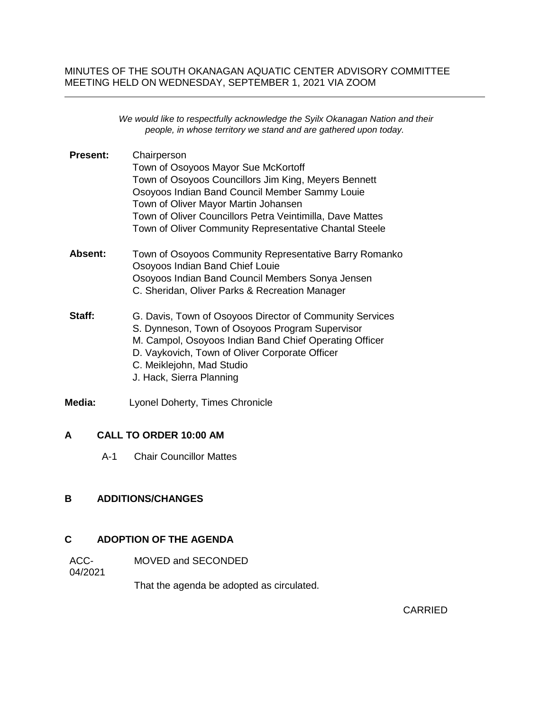## MINUTES OF THE SOUTH OKANAGAN AQUATIC CENTER ADVISORY COMMITTEE MEETING HELD ON WEDNESDAY, SEPTEMBER 1, 2021 VIA ZOOM

|                 | We would like to respectfully acknowledge the Syilx Okanagan Nation and their<br>people, in whose territory we stand and are gathered upon today.                                                                                                                                                                           |
|-----------------|-----------------------------------------------------------------------------------------------------------------------------------------------------------------------------------------------------------------------------------------------------------------------------------------------------------------------------|
| <b>Present:</b> | Chairperson<br>Town of Osoyoos Mayor Sue McKortoff<br>Town of Osoyoos Councillors Jim King, Meyers Bennett<br>Osoyoos Indian Band Council Member Sammy Louie<br>Town of Oliver Mayor Martin Johansen<br>Town of Oliver Councillors Petra Veintimilla, Dave Mattes<br>Town of Oliver Community Representative Chantal Steele |
| Absent:         | Town of Osoyoos Community Representative Barry Romanko<br>Osoyoos Indian Band Chief Louie<br>Osoyoos Indian Band Council Members Sonya Jensen<br>C. Sheridan, Oliver Parks & Recreation Manager                                                                                                                             |
| Staff:          | G. Davis, Town of Osoyoos Director of Community Services<br>S. Dynneson, Town of Osoyoos Program Supervisor<br>M. Campol, Osoyoos Indian Band Chief Operating Officer<br>D. Vaykovich, Town of Oliver Corporate Officer<br>C. Meiklejohn, Mad Studio<br>J. Hack, Sierra Planning                                            |
| Media:          | Lyonel Doherty, Times Chronicle                                                                                                                                                                                                                                                                                             |

# **A CALL TO ORDER 10:00 AM**

A-1 Chair Councillor Mattes

## **B ADDITIONS/CHANGES**

## **C ADOPTION OF THE AGENDA**

ACC-MOVED and SECONDED

04/2021

That the agenda be adopted as circulated.

CARRIED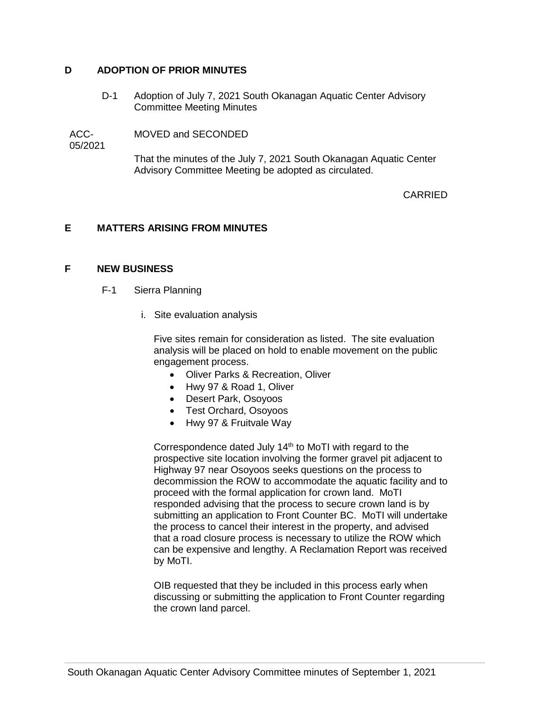#### **D ADOPTION OF PRIOR MINUTES**

D-1 Adoption of July 7, 2021 South Okanagan Aquatic Center Advisory Committee Meeting Minutes

ACC-MOVED and SECONDED

05/2021

That the minutes of the July 7, 2021 South Okanagan Aquatic Center Advisory Committee Meeting be adopted as circulated.

## CARRIED

## **E MATTERS ARISING FROM MINUTES**

#### **F NEW BUSINESS**

- F-1 Sierra Planning
	- i. Site evaluation analysis

Five sites remain for consideration as listed. The site evaluation analysis will be placed on hold to enable movement on the public engagement process.

- Oliver Parks & Recreation, Oliver
- Hwy 97 & Road 1, Oliver
- Desert Park, Osoyoos
- Test Orchard, Osoyoos
- Hwy 97 & Fruitvale Way

Correspondence dated July  $14<sup>th</sup>$  to MoTI with regard to the prospective site location involving the former gravel pit adjacent to Highway 97 near Osoyoos seeks questions on the process to decommission the ROW to accommodate the aquatic facility and to proceed with the formal application for crown land. MoTI responded advising that the process to secure crown land is by submitting an application to Front Counter BC. MoTI will undertake the process to cancel their interest in the property, and advised that a road closure process is necessary to utilize the ROW which can be expensive and lengthy. A Reclamation Report was received by MoTI.

OIB requested that they be included in this process early when discussing or submitting the application to Front Counter regarding the crown land parcel.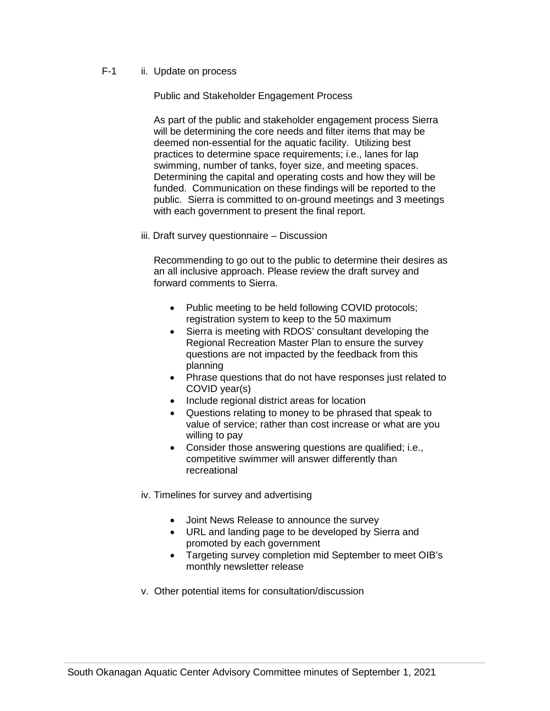## F-1 ii. Update on process

Public and Stakeholder Engagement Process

As part of the public and stakeholder engagement process Sierra will be determining the core needs and filter items that may be deemed non-essential for the aquatic facility. Utilizing best practices to determine space requirements; i.e., lanes for lap swimming, number of tanks, foyer size, and meeting spaces. Determining the capital and operating costs and how they will be funded. Communication on these findings will be reported to the public. Sierra is committed to on-ground meetings and 3 meetings with each government to present the final report.

iii. Draft survey questionnaire – Discussion

Recommending to go out to the public to determine their desires as an all inclusive approach. Please review the draft survey and forward comments to Sierra.

- Public meeting to be held following COVID protocols; registration system to keep to the 50 maximum
- Sierra is meeting with RDOS' consultant developing the Regional Recreation Master Plan to ensure the survey questions are not impacted by the feedback from this planning
- Phrase questions that do not have responses just related to COVID year(s)
- Include regional district areas for location
- Questions relating to money to be phrased that speak to value of service; rather than cost increase or what are you willing to pay
- Consider those answering questions are qualified; i.e., competitive swimmer will answer differently than recreational
- iv. Timelines for survey and advertising
	- Joint News Release to announce the survey
	- URL and landing page to be developed by Sierra and promoted by each government
	- Targeting survey completion mid September to meet OIB's monthly newsletter release
- v. Other potential items for consultation/discussion